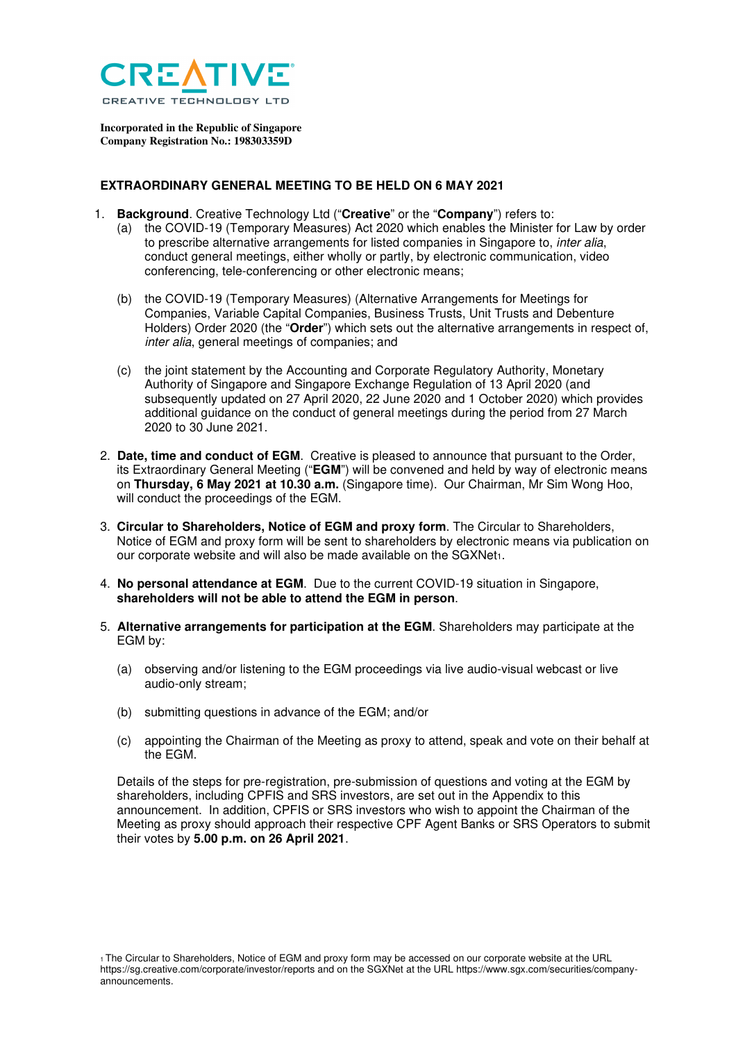

**Incorporated in the Republic of Singapore Company Registration No.: 198303359D** 

## **EXTRAORDINARY GENERAL MEETING TO BE HELD ON 6 MAY 2021**

- 1. **Background**. Creative Technology Ltd ("**Creative**" or the "**Company**") refers to:
	- (a) the COVID-19 (Temporary Measures) Act 2020 which enables the Minister for Law by order to prescribe alternative arrangements for listed companies in Singapore to, inter alia, conduct general meetings, either wholly or partly, by electronic communication, video conferencing, tele-conferencing or other electronic means;
	- (b) the COVID-19 (Temporary Measures) (Alternative Arrangements for Meetings for Companies, Variable Capital Companies, Business Trusts, Unit Trusts and Debenture Holders) Order 2020 (the "**Order**") which sets out the alternative arrangements in respect of, inter alia, general meetings of companies; and
	- (c) the joint statement by the Accounting and Corporate Regulatory Authority, Monetary Authority of Singapore and Singapore Exchange Regulation of 13 April 2020 (and subsequently updated on 27 April 2020, 22 June 2020 and 1 October 2020) which provides additional guidance on the conduct of general meetings during the period from 27 March 2020 to 30 June 2021.
- 2. **Date, time and conduct of EGM**. Creative is pleased to announce that pursuant to the Order, its Extraordinary General Meeting ("**EGM**") will be convened and held by way of electronic means on **Thursday, 6 May 2021 at 10.30 a.m.** (Singapore time). Our Chairman, Mr Sim Wong Hoo, will conduct the proceedings of the EGM.
- 3. **Circular to Shareholders, Notice of EGM and proxy form**. The Circular to Shareholders, Notice of EGM and proxy form will be sent to shareholders by electronic means via publication on our corporate website and will also be made available on the SGXNet1.
- 4. **No personal attendance at EGM**. Due to the current COVID-19 situation in Singapore, **shareholders will not be able to attend the EGM in person**.
- 5. **Alternative arrangements for participation at the EGM**. Shareholders may participate at the EGM by:
	- (a) observing and/or listening to the EGM proceedings via live audio-visual webcast or live audio-only stream;
	- (b) submitting questions in advance of the EGM; and/or
	- (c) appointing the Chairman of the Meeting as proxy to attend, speak and vote on their behalf at the EGM.

Details of the steps for pre-registration, pre-submission of questions and voting at the EGM by shareholders, including CPFIS and SRS investors, are set out in the Appendix to this announcement. In addition, CPFIS or SRS investors who wish to appoint the Chairman of the Meeting as proxy should approach their respective CPF Agent Banks or SRS Operators to submit their votes by **5.00 p.m. on 26 April 2021**.

<sup>1</sup>The Circular to Shareholders, Notice of EGM and proxy form may be accessed on our corporate website at the URL https://sg.creative.com/corporate/investor/reports and on the SGXNet at the URL https://www.sgx.com/securities/companyannouncements.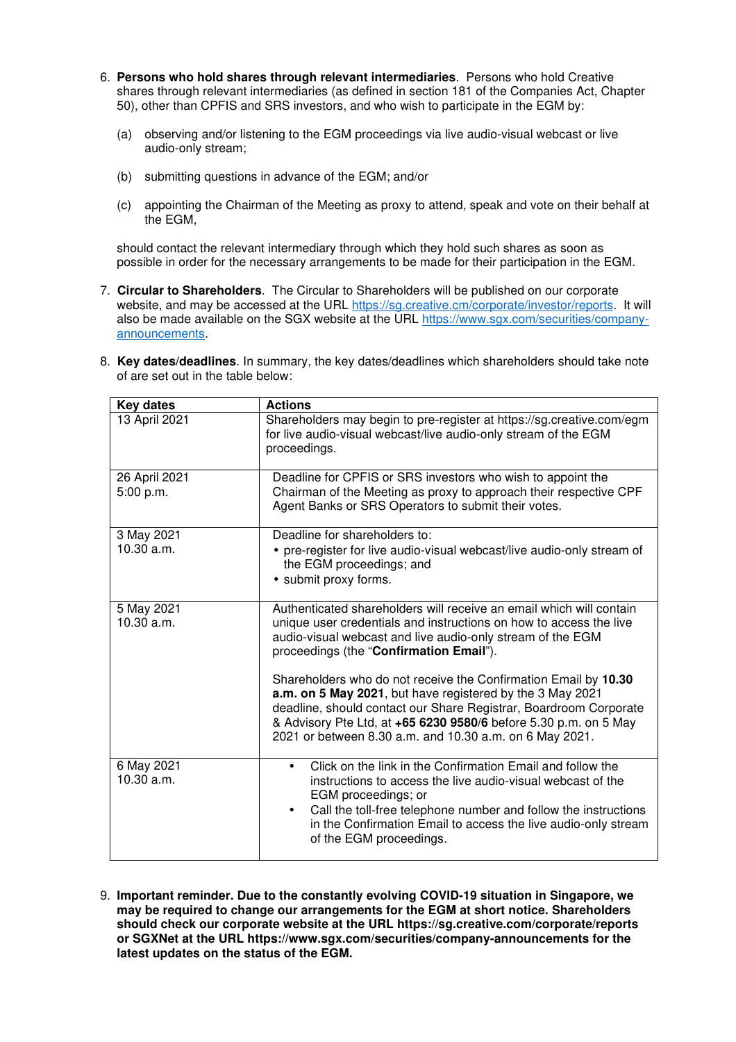- 6. **Persons who hold shares through relevant intermediaries**. Persons who hold Creative shares through relevant intermediaries (as defined in section 181 of the Companies Act, Chapter 50), other than CPFIS and SRS investors, and who wish to participate in the EGM by:
	- (a) observing and/or listening to the EGM proceedings via live audio-visual webcast or live audio-only stream;
	- (b) submitting questions in advance of the EGM; and/or
	- (c) appointing the Chairman of the Meeting as proxy to attend, speak and vote on their behalf at the EGM,

should contact the relevant intermediary through which they hold such shares as soon as possible in order for the necessary arrangements to be made for their participation in the EGM.

- 7. **Circular to Shareholders**. The Circular to Shareholders will be published on our corporate website, and may be accessed at the URL https://sg.creative.cm/corporate/investor/reports. It will also be made available on the SGX website at the URL https://www.sgx.com/securities/companyannouncements.
- 8. **Key dates/deadlines**. In summary, the key dates/deadlines which shareholders should take note of are set out in the table below:

| <b>Key dates</b>           | <b>Actions</b>                                                                                                                                                                                                                                                                                                                                                                                                                                                                                                                                                                         |
|----------------------------|----------------------------------------------------------------------------------------------------------------------------------------------------------------------------------------------------------------------------------------------------------------------------------------------------------------------------------------------------------------------------------------------------------------------------------------------------------------------------------------------------------------------------------------------------------------------------------------|
| 13 April 2021              | Shareholders may begin to pre-register at https://sg.creative.com/egm<br>for live audio-visual webcast/live audio-only stream of the EGM<br>proceedings.                                                                                                                                                                                                                                                                                                                                                                                                                               |
| 26 April 2021<br>5:00 p.m. | Deadline for CPFIS or SRS investors who wish to appoint the<br>Chairman of the Meeting as proxy to approach their respective CPF<br>Agent Banks or SRS Operators to submit their votes.                                                                                                                                                                                                                                                                                                                                                                                                |
| 3 May 2021<br>10.30 a.m.   | Deadline for shareholders to:<br>• pre-register for live audio-visual webcast/live audio-only stream of<br>the EGM proceedings; and<br>• submit proxy forms.                                                                                                                                                                                                                                                                                                                                                                                                                           |
| 5 May 2021<br>10.30 a.m.   | Authenticated shareholders will receive an email which will contain<br>unique user credentials and instructions on how to access the live<br>audio-visual webcast and live audio-only stream of the EGM<br>proceedings (the "Confirmation Email").<br>Shareholders who do not receive the Confirmation Email by 10.30<br>a.m. on 5 May 2021, but have registered by the 3 May 2021<br>deadline, should contact our Share Registrar, Boardroom Corporate<br>& Advisory Pte Ltd, at +65 6230 9580/6 before 5.30 p.m. on 5 May<br>2021 or between 8.30 a.m. and 10.30 a.m. on 6 May 2021. |
| 6 May 2021<br>10.30 a.m.   | Click on the link in the Confirmation Email and follow the<br>instructions to access the live audio-visual webcast of the<br>EGM proceedings; or<br>Call the toll-free telephone number and follow the instructions<br>$\bullet$<br>in the Confirmation Email to access the live audio-only stream<br>of the EGM proceedings.                                                                                                                                                                                                                                                          |

9. **Important reminder. Due to the constantly evolving COVID-19 situation in Singapore, we may be required to change our arrangements for the EGM at short notice. Shareholders should check our corporate website at the URL https://sg.creative.com/corporate/reports or SGXNet at the URL https://www.sgx.com/securities/company-announcements for the latest updates on the status of the EGM.**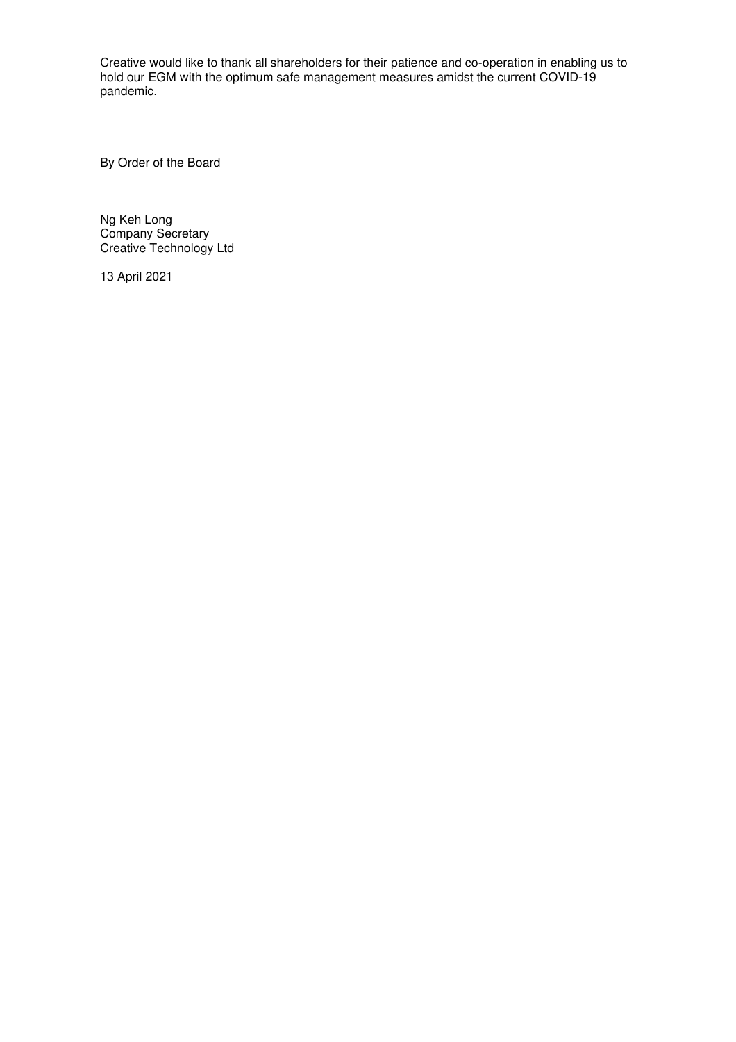Creative would like to thank all shareholders for their patience and co-operation in enabling us to hold our EGM with the optimum safe management measures amidst the current COVID-19 pandemic.

By Order of the Board

Ng Keh Long Company Secretary Creative Technology Ltd

13 April 2021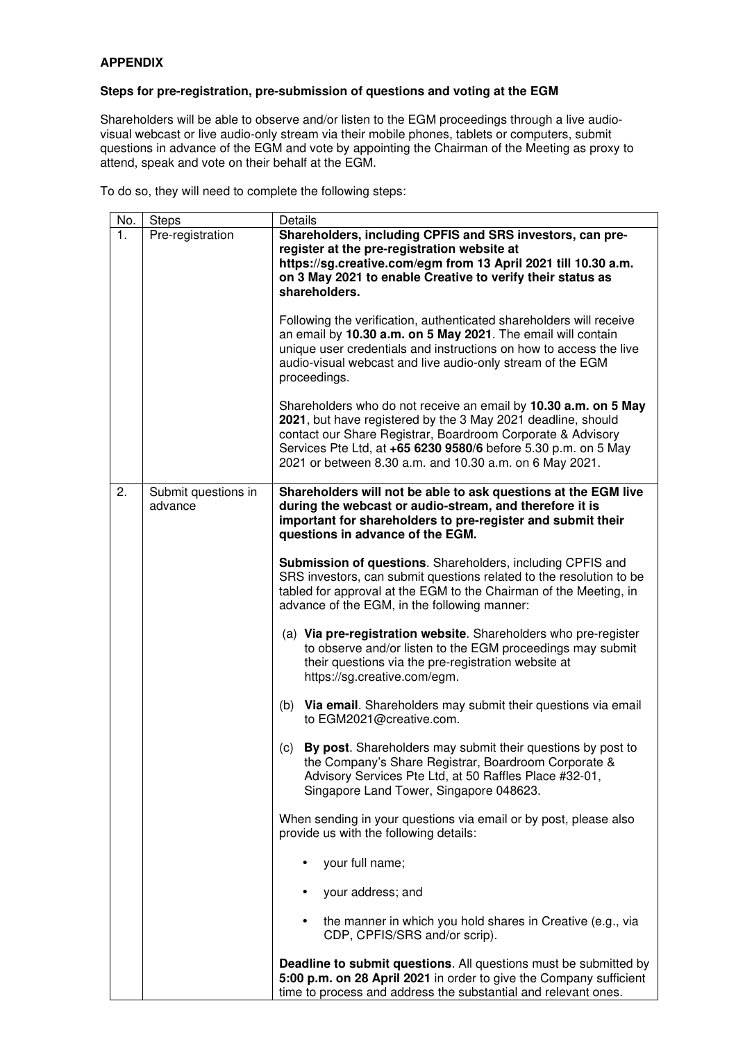## **APPENDIX**

## **Steps for pre-registration, pre-submission of questions and voting at the EGM**

Shareholders will be able to observe and/or listen to the EGM proceedings through a live audiovisual webcast or live audio-only stream via their mobile phones, tablets or computers, submit questions in advance of the EGM and vote by appointing the Chairman of the Meeting as proxy to attend, speak and vote on their behalf at the EGM.

To do so, they will need to complete the following steps:

| No. | <b>Steps</b>                   | Details                                                                                                                                                                                                                                                                                                                     |
|-----|--------------------------------|-----------------------------------------------------------------------------------------------------------------------------------------------------------------------------------------------------------------------------------------------------------------------------------------------------------------------------|
| 1.  | Pre-registration               | Shareholders, including CPFIS and SRS investors, can pre-<br>register at the pre-registration website at<br>https://sg.creative.com/egm from 13 April 2021 till 10.30 a.m.<br>on 3 May 2021 to enable Creative to verify their status as<br>shareholders.                                                                   |
|     |                                | Following the verification, authenticated shareholders will receive<br>an email by 10.30 a.m. on 5 May 2021. The email will contain<br>unique user credentials and instructions on how to access the live<br>audio-visual webcast and live audio-only stream of the EGM<br>proceedings.                                     |
|     |                                | Shareholders who do not receive an email by 10.30 a.m. on 5 May<br>2021, but have registered by the 3 May 2021 deadline, should<br>contact our Share Registrar, Boardroom Corporate & Advisory<br>Services Pte Ltd, at +65 6230 9580/6 before 5.30 p.m. on 5 May<br>2021 or between 8.30 a.m. and 10.30 a.m. on 6 May 2021. |
| 2.  | Submit questions in<br>advance | Shareholders will not be able to ask questions at the EGM live<br>during the webcast or audio-stream, and therefore it is<br>important for shareholders to pre-register and submit their<br>questions in advance of the EGM.                                                                                                |
|     |                                | Submission of questions. Shareholders, including CPFIS and<br>SRS investors, can submit questions related to the resolution to be<br>tabled for approval at the EGM to the Chairman of the Meeting, in<br>advance of the EGM, in the following manner:                                                                      |
|     |                                | (a) Via pre-registration website. Shareholders who pre-register<br>to observe and/or listen to the EGM proceedings may submit<br>their questions via the pre-registration website at<br>https://sg.creative.com/egm.                                                                                                        |
|     |                                | (b)<br>Via email. Shareholders may submit their questions via email<br>to EGM2021@creative.com.                                                                                                                                                                                                                             |
|     |                                | By post. Shareholders may submit their questions by post to<br>(c)<br>the Company's Share Registrar, Boardroom Corporate &<br>Advisory Services Pte Ltd, at 50 Raffles Place #32-01,<br>Singapore Land Tower, Singapore 048623.                                                                                             |
|     |                                | When sending in your questions via email or by post, please also<br>provide us with the following details:                                                                                                                                                                                                                  |
|     |                                | your full name;                                                                                                                                                                                                                                                                                                             |
|     |                                | your address; and                                                                                                                                                                                                                                                                                                           |
|     |                                | the manner in which you hold shares in Creative (e.g., via<br>CDP, CPFIS/SRS and/or scrip).                                                                                                                                                                                                                                 |
|     |                                | <b>Deadline to submit questions.</b> All questions must be submitted by<br>5:00 p.m. on 28 April 2021 in order to give the Company sufficient<br>time to process and address the substantial and relevant ones.                                                                                                             |